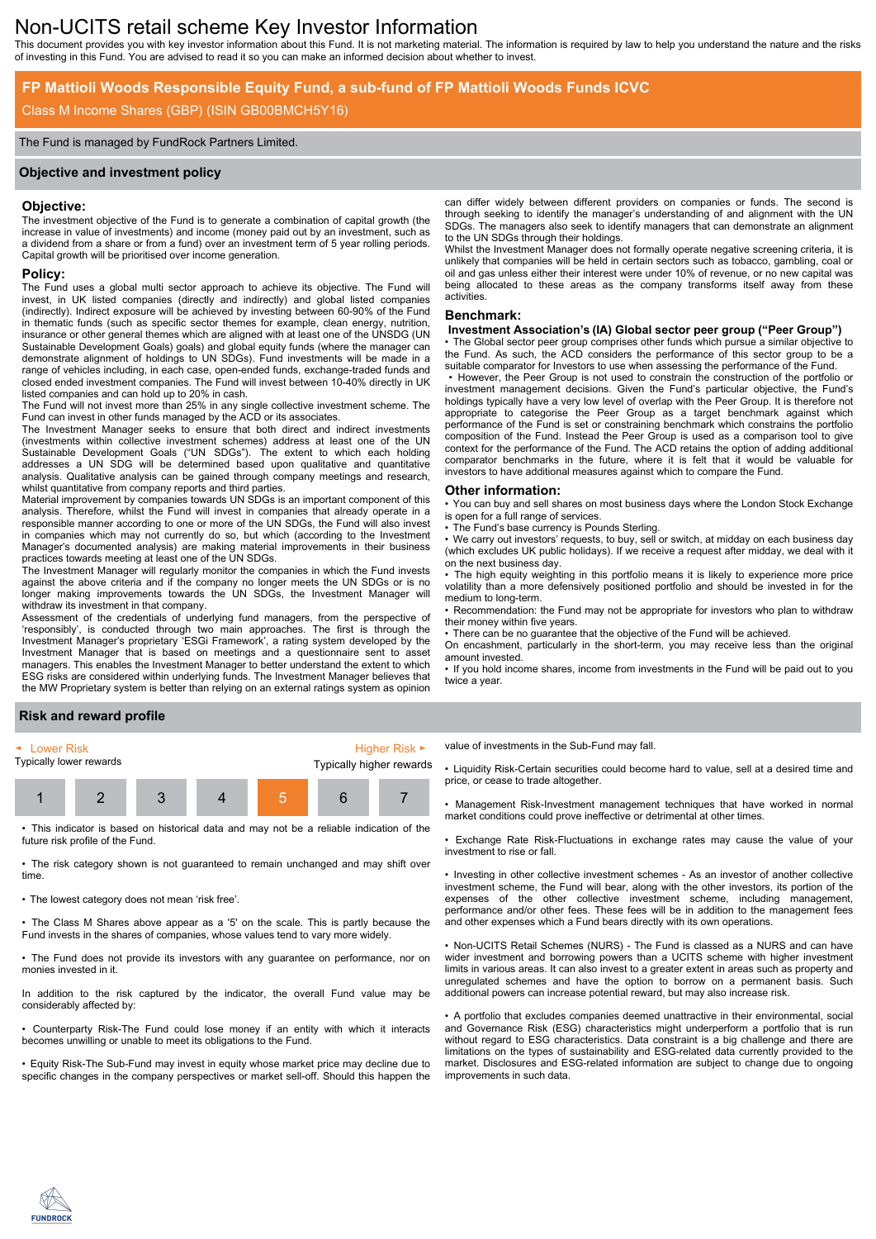# Non-UCITS retail scheme Key Investor Information

This document provides you with key investor information about this Fund. It is not marketing material. The information is required by law to help you understand the nature and the risks of investing in this Fund. You are advised to read it so you can make an informed decision about whether to invest.

### **FP Mattioli Woods Responsible Equity Fund, a sub-fund of FP Mattioli Woods Funds ICVC**

# Class M Income Shares (GBP) (ISIN GB00BMCH5Y16)

#### The Fund is managed by FundRock Partners Limited.

#### **Objective and investment policy**

#### **Objective:**

The investment objective of the Fund is to generate a combination of capital growth (the increase in value of investments) and income (money paid out by an investment, such as a dividend from a share or from a fund) over an investment term of 5 year rolling periods. Capital growth will be prioritised over income generation.

# **Policy:**

The Fund uses a global multi sector approach to achieve its objective. The Fund will invest, in UK listed companies (directly and indirectly) and global listed companies (indirectly). Indirect exposure will be achieved by investing between 60-90% of the Fund in thematic funds (such as specific sector themes for example, clean energy, nutrition, insurance or other general themes which are aligned with at least one of the UNSDG (UN Sustainable Development Goals) goals) and global equity funds (where the manager can demonstrate alignment of holdings to UN SDGs). Fund investments will be made in a range of vehicles including, in each case, open-ended funds, exchange-traded funds and closed ended investment companies. The Fund will invest between 10-40% directly in UK listed companies and can hold up to 20% in cash.

The Fund will not invest more than 25% in any single collective investment scheme. The Fund can invest in other funds managed by the ACD or its associates

The Investment Manager seeks to ensure that both direct and indirect investments (investments within collective investment schemes) address at least one of the UN Sustainable Development Goals ("UN SDGs"). The extent to which each holding addresses a UN SDG will be determined based upon qualitative and quantitative analysis. Qualitative analysis can be gained through company meetings and research, whilst quantitative from company reports and third parties.

Material improvement by companies towards UN SDGs is an important component of this analysis. Therefore, whilst the Fund will invest in companies that already operate in a responsible manner according to one or more of the UN SDGs, the Fund will also invest in companies which may not currently do so, but which (according to the Investment Manager's documented analysis) are making material improvements in their business practices towards meeting at least one of the UN SDGs.

The Investment Manager will regularly monitor the companies in which the Fund invests against the above criteria and if the company no longer meets the UN SDGs or is no longer making improvements towards the UN SDGs, the Investment Manager will withdraw its investment in that company.

Assessment of the credentials of underlying fund managers, from the perspective of 'responsibly', is conducted through two main approaches. The first is through the Investment Manager's proprietary 'ESGi Framework', a rating system developed by the Investment Manager that is based on meetings and a questionnaire sent to asset managers. This enables the Investment Manager to better understand the extent to which ESG risks are considered within underlying funds. The Investment Manager believes that the MW Proprietary system is better than relying on an external ratings system as opinion

can differ widely between different providers on companies or funds. The second is through seeking to identify the manager's understanding of and alignment with the UN SDGs. The managers also seek to identify managers that can demonstrate an alignment to the UN SDGs through their holdings.

Whilst the Investment Manager does not formally operate negative screening criteria, it is unlikely that companies will be held in certain sectors such as tobacco, gambling, coal or oil and gas unless either their interest were under 10% of revenue, or no new capital was being allocated to these areas as the company transforms itself away from these activities.

#### **Benchmark:**

#### **Investment Association's (IA) Global sector peer group ("Peer Group")**

The Global sector peer group comprises other funds which pursue a similar objective to the Fund. As such, the ACD considers the performance of this sector group to be a suitable comparator for Investors to use when assessing the performance of the Fund.

• However, the Peer Group is not used to constrain the construction of the portfolio or investment management decisions. Given the Fund's particular objective, the Fund's holdings typically have a very low level of overlap with the Peer Group. It is therefore not appropriate to categorise the Peer Group as a target benchmark against which performance of the Fund is set or constraining benchmark which constrains the portfolio composition of the Fund. Instead the Peer Group is used as a comparison tool to give context for the performance of the Fund. The ACD retains the option of adding additional comparator benchmarks in the future, where it is felt that it would be valuable for investors to have additional measures against which to compare the Fund.

#### **Other information:**

• You can buy and sell shares on most business days where the London Stock Exchange is open for a full range of services.

The Fund's base currency is Pounds Sterling.

We carry out investors' requests, to buy, sell or switch, at midday on each business day (which excludes UK public holidays). If we receive a request after midday, we deal with it on the next business day.

• The high equity weighting in this portfolio means it is likely to experience more price volatility than a more defensively positioned portfolio and should be invested in for the medium to long-term.

• Recommendation: the Fund may not be appropriate for investors who plan to withdraw their money within five years.

• There can be no guarantee that the objective of the Fund will be achieved.

On encashment, particularly in the short-term, you may receive less than the original amount invested.

• If you hold income shares, income from investments in the Fund will be paid out to you twice a year.

### **Risk and reward profile**

| $\blacktriangleleft$ Lower Risk |  |  |  | Higher Risk $\blacktriangleright$ |  |  |
|---------------------------------|--|--|--|-----------------------------------|--|--|
| Typically lower rewards         |  |  |  | Typically higher rewards          |  |  |
|                                 |  |  |  |                                   |  |  |

• This indicator is based on historical data and may not be a reliable indication of the future risk profile of the Fund.

• The risk category shown is not guaranteed to remain unchanged and may shift over time.

• The lowest category does not mean 'risk free'.

• The Class M Shares above appear as a '5' on the scale. This is partly because the Fund invests in the shares of companies, whose values tend to vary more widely.

• The Fund does not provide its investors with any guarantee on performance, nor on monies invested in it.

In addition to the risk captured by the indicator, the overall Fund value may be considerably affected by:

• Counterparty Risk-The Fund could lose money if an entity with which it interacts becomes unwilling or unable to meet its obligations to the Fund.

• Equity Risk-The Sub-Fund may invest in equity whose market price may decline due to specific changes in the company perspectives or market sell-off. Should this happen the value of investments in the Sub-Fund may fall.

• Liquidity Risk-Certain securities could become hard to value, sell at a desired time and price, or cease to trade altogether.

• Management Risk-Investment management techniques that have worked in normal market conditions could prove ineffective or detrimental at other times.

• Exchange Rate Risk-Fluctuations in exchange rates may cause the value of your investment to rise or fall.

• Investing in other collective investment schemes - As an investor of another collective investment scheme, the Fund will bear, along with the other investors, its portion of the expenses of the other collective investment scheme, including management, performance and/or other fees. These fees will be in addition to the management fees and other expenses which a Fund bears directly with its own operations.

• Non-UCITS Retail Schemes (NURS) - The Fund is classed as a NURS and can have wider investment and borrowing powers than a UCITS scheme with higher investment limits in various areas. It can also invest to a greater extent in areas such as property and unregulated schemes and have the option to borrow on a permanent basis. Such additional powers can increase potential reward, but may also increase risk.

• A portfolio that excludes companies deemed unattractive in their environmental, social and Governance Risk (ESG) characteristics might underperform a portfolio that is run without regard to ESG characteristics. Data constraint is a big challenge and there are limitations on the types of sustainability and ESG-related data currently provided to the market. Disclosures and ESG-related information are subject to change due to ongoing improvements in such data.

**FUNDROCK**